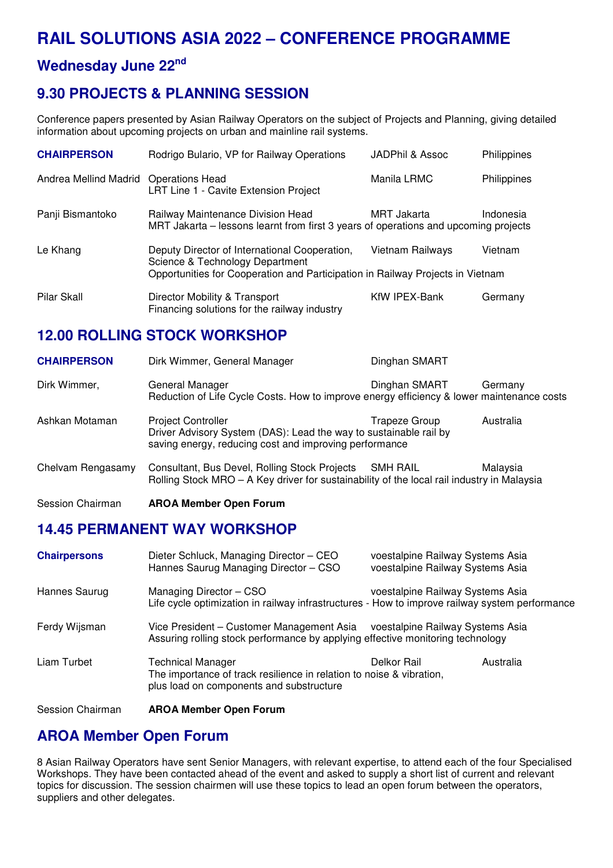# **RAIL SOLUTIONS ASIA 2022 – CONFERENCE PROGRAMME**

# **Wednesday June 22nd**

# **9.30 PROJECTS & PLANNING SESSION**

Conference papers presented by Asian Railway Operators on the subject of Projects and Planning, giving detailed information about upcoming projects on urban and mainline rail systems.

| <b>CHAIRPERSON</b>    | Rodrigo Bulario, VP for Railway Operations                                                                                                                         | JADPhil & Assoc  | Philippines |
|-----------------------|--------------------------------------------------------------------------------------------------------------------------------------------------------------------|------------------|-------------|
| Andrea Mellind Madrid | <b>Operations Head</b><br>LRT Line 1 - Cavite Extension Project                                                                                                    | Manila LRMC      | Philippines |
| Panji Bismantoko      | Railway Maintenance Division Head<br>MRT Jakarta – lessons learnt from first 3 years of operations and upcoming projects                                           | MRT Jakarta      | Indonesia   |
| Le Khang              | Deputy Director of International Cooperation,<br>Science & Technology Department<br>Opportunities for Cooperation and Participation in Railway Projects in Vietnam | Vietnam Railways | Vietnam     |
| Pilar Skall           | Director Mobility & Transport<br>Financing solutions for the railway industry                                                                                      | KfW IPEX-Bank    | Germany     |

### **12.00 ROLLING STOCK WORKSHOP**

| <b>CHAIRPERSON</b> | Dirk Wimmer, General Manager                                                                                                                             | Dinghan SMART |           |
|--------------------|----------------------------------------------------------------------------------------------------------------------------------------------------------|---------------|-----------|
| Dirk Wimmer,       | General Manager<br>Reduction of Life Cycle Costs. How to improve energy efficiency & lower maintenance costs                                             | Dinghan SMART | Germany   |
| Ashkan Motaman     | <b>Project Controller</b><br>Driver Advisory System (DAS): Lead the way to sustainable rail by<br>saving energy, reducing cost and improving performance | Trapeze Group | Australia |
| Chelvam Rengasamy  | Consultant, Bus Devel, Rolling Stock Projects<br>Rolling Stock MRO - A Key driver for sustainability of the local rail industry in Malaysia              | SMH RAIL      | Malaysia  |
| Session Chairman   | <b>AROA Member Open Forum</b>                                                                                                                            |               |           |

#### **14.45 PERMANENT WAY WORKSHOP**

| <b>Chairpersons</b> | Dieter Schluck, Managing Director - CEO<br>Hannes Saurug Managing Director - CSO                                                      | voestalpine Railway Systems Asia<br>voestalpine Railway Systems Asia |           |
|---------------------|---------------------------------------------------------------------------------------------------------------------------------------|----------------------------------------------------------------------|-----------|
| Hannes Saurug       | Managing Director - CSO<br>Life cycle optimization in railway infrastructures - How to improve railway system performance             | voestalpine Railway Systems Asia                                     |           |
| Ferdy Wijsman       | Vice President – Customer Management Asia<br>Assuring rolling stock performance by applying effective monitoring technology           | voestalpine Railway Systems Asia                                     |           |
| Liam Turbet         | Technical Manager<br>The importance of track resilience in relation to noise & vibration,<br>plus load on components and substructure | Delkor Rail                                                          | Australia |
| Session Chairman    | <b>AROA Member Open Forum</b>                                                                                                         |                                                                      |           |

#### **AROA Member Open Forum**

8 Asian Railway Operators have sent Senior Managers, with relevant expertise, to attend each of the four Specialised Workshops. They have been contacted ahead of the event and asked to supply a short list of current and relevant topics for discussion. The session chairmen will use these topics to lead an open forum between the operators, suppliers and other delegates.